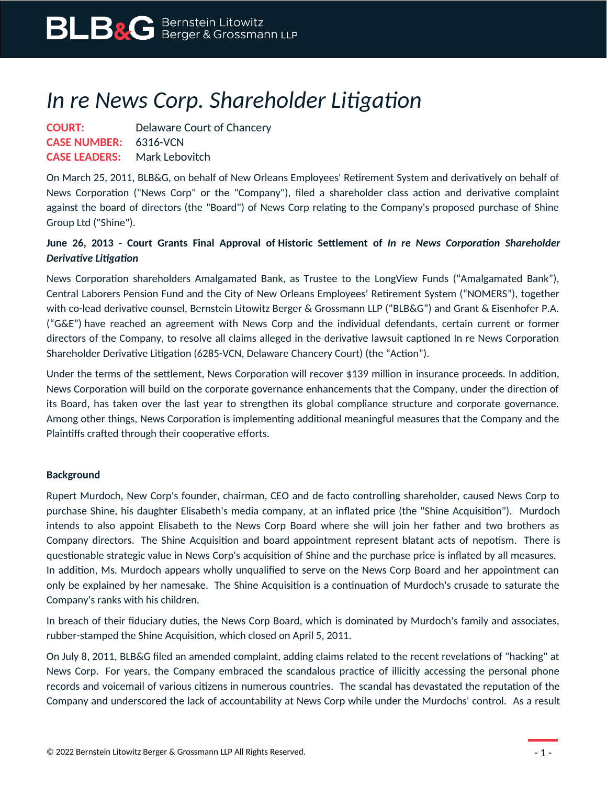## *In re News Corp. Shareholder Litigation*

**COURT:** Delaware Court of Chancery **CASE NUMBER:** 6316-VCN **CASE LEADERS:** Mark Lebovitch

On March 25, 2011, BLB&G, on behalf of New Orleans Employees' Retirement System and derivatively on behalf of News Corporation ("News Corp" or the "Company"), filed a shareholder class action and derivative complaint against the board of directors (the "Board") of News Corp relating to the Company's proposed purchase of Shine Group Ltd ("Shine").

## **June 26, 2013 - Court Grants Final Approval of Historic Settlement of** *In re News Corporation Shareholder Derivative Litigation*

News Corporation shareholders Amalgamated Bank, as Trustee to the LongView Funds ("Amalgamated Bank"), Central Laborers Pension Fund and the City of New Orleans Employees' Retirement System ("NOMERS"), together with co-lead derivative counsel, Bernstein Litowitz Berger & Grossmann LLP ("BLB&G") and Grant & Eisenhofer P.A. ("G&E") have reached an agreement with News Corp and the individual defendants, certain current or former directors of the Company, to resolve all claims alleged in the derivative lawsuit captioned In re News Corporation Shareholder Derivative Litigation (6285-VCN, Delaware Chancery Court) (the "Action").

Under the terms of the settlement, News Corporation will recover \$139 million in insurance proceeds. In addition, News Corporation will build on the corporate governance enhancements that the Company, under the direction of its Board, has taken over the last year to strengthen its global compliance structure and corporate governance. Among other things, News Corporation is implementing additional meaningful measures that the Company and the Plaintiffs crafted through their cooperative efforts.

## **Background**

Rupert Murdoch, New Corp's founder, chairman, CEO and de facto controlling shareholder, caused News Corp to purchase Shine, his daughter Elisabeth's media company, at an inflated price (the "Shine Acquisition"). Murdoch intends to also appoint Elisabeth to the News Corp Board where she will join her father and two brothers as Company directors. The Shine Acquisition and board appointment represent blatant acts of nepotism. There is questionable strategic value in News Corp's acquisition of Shine and the purchase price is inflated by all measures. In addition, Ms. Murdoch appears wholly unqualified to serve on the News Corp Board and her appointment can only be explained by her namesake. The Shine Acquisition is a continuation of Murdoch's crusade to saturate the Company's ranks with his children.

In breach of their fiduciary duties, the News Corp Board, which is dominated by Murdoch's family and associates, rubber-stamped the Shine Acquisition, which closed on April 5, 2011.

On July 8, 2011, BLB&G filed an amended complaint, adding claims related to the recent revelations of "hacking" at News Corp. For years, the Company embraced the scandalous practice of illicitly accessing the personal phone records and voicemail of various citizens in numerous countries. The scandal has devastated the reputation of the Company and underscored the lack of accountability at News Corp while under the Murdochs' control. As a result